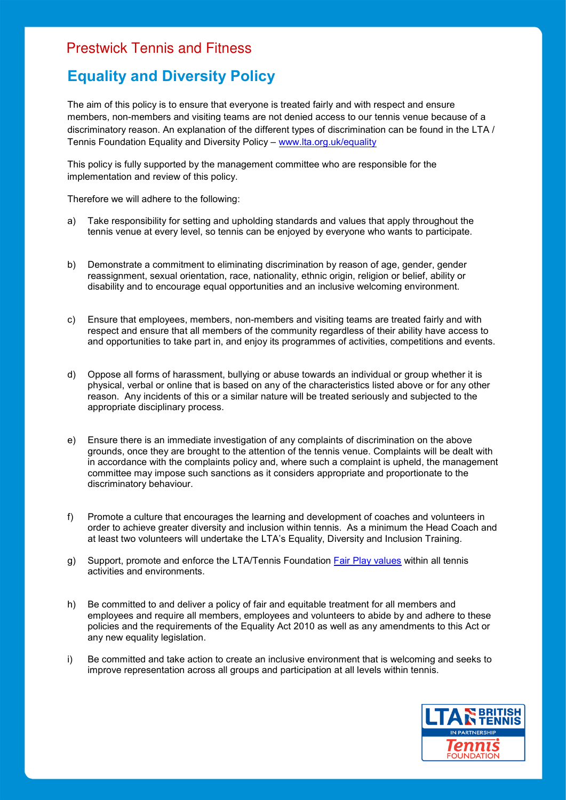## Prestwick Tennis and Fitness

## **Equality and Diversity Policy**

The aim of this policy is to ensure that everyone is treated fairly and with respect and ensure members, non-members and visiting teams are not denied access to our tennis venue because of a discriminatory reason. An explanation of the different types of discrimination can be found in the LTA / Tennis Foundation Equality and Diversity Policy – www.lta.org.uk/equality

This policy is fully supported by the management committee who are responsible for the implementation and review of this policy.

Therefore we will adhere to the following:

- a) Take responsibility for setting and upholding standards and values that apply throughout the tennis venue at every level, so tennis can be enjoyed by everyone who wants to participate.
- b) Demonstrate a commitment to eliminating discrimination by reason of age, gender, gender reassignment, sexual orientation, race, nationality, ethnic origin, religion or belief, ability or disability and to encourage equal opportunities and an inclusive welcoming environment.
- c) Ensure that employees, members, non-members and visiting teams are treated fairly and with respect and ensure that all members of the community regardless of their ability have access to and opportunities to take part in, and enjoy its programmes of activities, competitions and events.
- d) Oppose all forms of harassment, bullying or abuse towards an individual or group whether it is physical, verbal or online that is based on any of the characteristics listed above or for any other reason. Any incidents of this or a similar nature will be treated seriously and subjected to the appropriate disciplinary process.
- e) Ensure there is an immediate investigation of any complaints of discrimination on the above grounds, once they are brought to the attention of the tennis venue. Complaints will be dealt with in accordance with the complaints policy and, where such a complaint is upheld, the management committee may impose such sanctions as it considers appropriate and proportionate to the discriminatory behaviour.
- f) Promote a culture that encourages the learning and development of coaches and volunteers in order to achieve greater diversity and inclusion within tennis. As a minimum the Head Coach and at least two volunteers will undertake the LTA's Equality, Diversity and Inclusion Training.
- g) Support, promote and enforce the LTA/Tennis Foundation Fair Play values within all tennis activities and environments.
- h) Be committed to and deliver a policy of fair and equitable treatment for all members and employees and require all members, employees and volunteers to abide by and adhere to these policies and the requirements of the Equality Act 2010 as well as any amendments to this Act or any new equality legislation.
- i) Be committed and take action to create an inclusive environment that is welcoming and seeks to improve representation across all groups and participation at all levels within tennis.